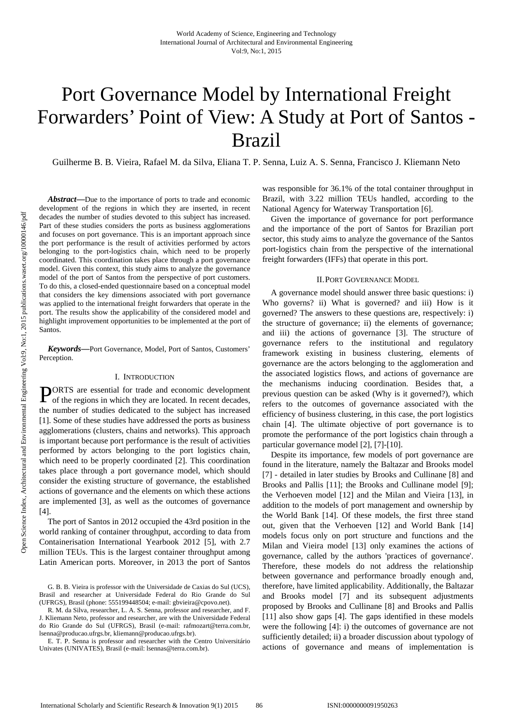# Port Governance Model by International Freight Forwarders' Point of View: A Study at Port of Santos - Brazil

Guilherme B. B. Vieira, Rafael M. da Silva, Eliana T. P. Senna, Luiz A. S. Senna, Francisco J. Kliemann Neto

*Abstract***—**Due to the importance of ports to trade and economic development of the regions in which they are inserted, in recent decades the number of studies devoted to this subject has increased. Part of these studies considers the ports as business agglomerations and focuses on port governance. This is an important approach since the port performance is the result of activities performed by actors belonging to the port-logistics chain, which need to be properly coordinated. This coordination takes place through a port governance model. Given this context, this study aims to analyze the governance model of the port of Santos from the perspective of port customers. To do this, a closed-ended questionnaire based on a conceptual model that considers the key dimensions associated with port governance was applied to the international freight forwarders that operate in the port. The results show the applicability of the considered model and highlight improvement opportunities to be implemented at the port of Santos.

*Keywords***—**Port Governance, Model, Port of Santos, Customers' Perception.

#### I. INTRODUCTION

ORTS are essential for trade and economic development **PORTS** are essential for trade and economic development of the regions in which they are located. In recent decades, the number of studies dedicated to the subject has increased [1]. Some of these studies have addressed the ports as business agglomerations (clusters, chains and networks). This approach is important because port performance is the result of activities performed by actors belonging to the port logistics chain, which need to be properly coordinated [2]. This coordination takes place through a port governance model, which should consider the existing structure of governance, the established actions of governance and the elements on which these actions are implemented [3], as well as the outcomes of governance [4].

The port of Santos in 2012 occupied the 43rd position in the world ranking of container throughput, according to data from Containerisation International Yearbook 2012 [5], with 2.7 million TEUs. This is the largest container throughput among Latin American ports. Moreover, in 2013 the port of Santos

was responsible for 36.1% of the total container throughput in Brazil, with 3.22 million TEUs handled, according to the National Agency for Waterway Transportation [6].

Given the importance of governance for port performance and the importance of the port of Santos for Brazilian port sector, this study aims to analyze the governance of the Santos port-logistics chain from the perspective of the international freight forwarders (IFFs) that operate in this port.

#### II.PORT GOVERNANCE MODEL

A governance model should answer three basic questions: i) Who governs? ii) What is governed? and iii) How is it governed? The answers to these questions are, respectively: i) the structure of governance; ii) the elements of governance; and iii) the actions of governance [3]. The structure of governance refers to the institutional and regulatory framework existing in business clustering, elements of governance are the actors belonging to the agglomeration and the associated logistics flows, and actions of governance are the mechanisms inducing coordination. Besides that, a previous question can be asked (Why is it governed?), which refers to the outcomes of governance associated with the efficiency of business clustering, in this case, the port logistics chain [4]. The ultimate objective of port governance is to promote the performance of the port logistics chain through a particular governance model [2], [7]-[10].

Despite its importance, few models of port governance are found in the literature, namely the Baltazar and Brooks model [7] - detailed in later studies by Brooks and Cullinane [8] and Brooks and Pallis [11]; the Brooks and Cullinane model [9]; the Verhoeven model [12] and the Milan and Vieira [13], in addition to the models of port management and ownership by the World Bank [14]. Of these models, the first three stand out, given that the Verhoeven [12] and World Bank [14] models focus only on port structure and functions and the Milan and Vieira model [13] only examines the actions of governance, called by the authors 'practices of governance'. Therefore, these models do not address the relationship between governance and performance broadly enough and, therefore, have limited applicability. Additionally, the Baltazar and Brooks model [7] and its subsequent adjustments proposed by Brooks and Cullinane [8] and Brooks and Pallis [11] also show gaps [4]. The gaps identified in these models were the following [4]: i) the outcomes of governance are not sufficiently detailed; ii) a broader discussion about typology of actions of governance and means of implementation is

G. B. B. Vieira is professor with the Universidade de Caxias do Sul (UCS), Brasil and researcher at Universidade Federal do Rio Grande do Sul (UFRGS), Brasil (phone: 555199448504; e-mail: gbvieira@cpovo.net).

R. M. da Silva, researcher, L. A. S. Senna, professor and researcher, and F. J. Kliemann Neto, professor and researcher, are with the Universidade Federal do Rio Grande do Sul (UFRGS), Brasil (e-mail: rafmozart@terra.com.br, lsenna@producao.ufrgs.br, kliemann@producao.ufrgs.br).

E. T. P. Senna is professor and researcher with the Centro Universitário Univates (UNIVATES), Brasil (e-mail: lsennas@terra.com.br).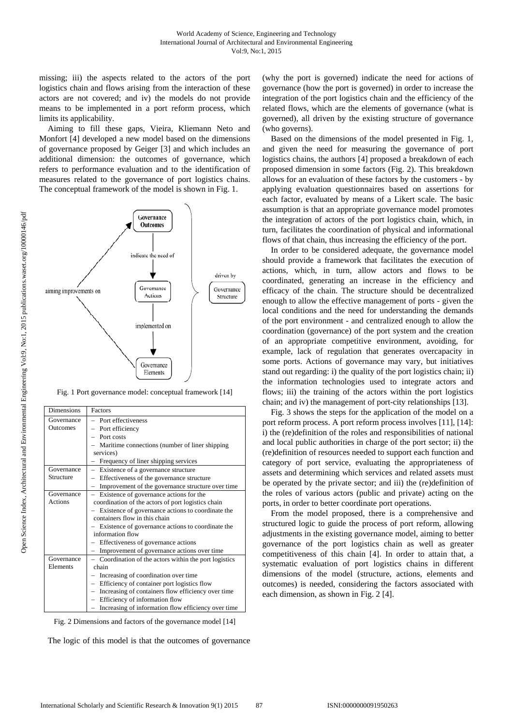missing; iii) the aspects related to the actors of the port logistics chain and flows arising from the interaction of these actors are not covered; and iv) the models do not provide means to be implemented in a port reform process, which limits its applicability.

Aiming to fill these gaps, Vieira, Kliemann Neto and Monfort [4] developed a new model based on the dimensions of governance proposed by Geiger [3] and which includes an additional dimension: the outcomes of governance, which refers to performance evaluation and to the identification of measures related to the governance of port logistics chains. The conceptual framework of the model is shown in Fig. 1.



Fig. 1 Port governance model: conceptual framework [14]

| <b>Dimensions</b>             | Factors                                                                                                                                                                                                                                                                                                                                                |
|-------------------------------|--------------------------------------------------------------------------------------------------------------------------------------------------------------------------------------------------------------------------------------------------------------------------------------------------------------------------------------------------------|
| Governance<br><b>Outcomes</b> | - Port effectiveness<br>- Port efficiency<br>$-$ Port costs<br>- Maritime connections (number of liner shipping<br>services)<br>Frequency of liner shipping services                                                                                                                                                                                   |
| Governance<br>Structure       | Existence of a governance structure<br>Effectiveness of the governance structure<br>Improvement of the governance structure over time<br>$\overline{\phantom{0}}$                                                                                                                                                                                      |
| Governance<br>Actions         | Existence of governance actions for the<br>coordination of the actors of port logistics chain<br>Existence of governance actions to coordinate the<br>containers flow in this chain<br>Existence of governance actions to coordinate the<br>information flow<br>- Effectiveness of governance actions<br>- Improvement of governance actions over time |
| Governance<br>Elements        | - Coordination of the actors within the port logistics<br>chain<br>Increasing of coordination over time<br>Efficiency of container port logistics flow<br>- Increasing of containers flow efficiency over time<br>- Efficiency of information flow<br>Increasing of information flow efficiency over time                                              |

Fig. 2 Dimensions and factors of the governance model [14]

The logic of this model is that the outcomes of governance

(why the port is governed) indicate the need for actions of governance (how the port is governed) in order to increase the integration of the port logistics chain and the efficiency of the related flows, which are the elements of governance (what is governed), all driven by the existing structure of governance (who governs).

Based on the dimensions of the model presented in Fig. 1, and given the need for measuring the governance of port logistics chains, the authors [4] proposed a breakdown of each proposed dimension in some factors (Fig. 2). This breakdown allows for an evaluation of these factors by the customers - by applying evaluation questionnaires based on assertions for each factor, evaluated by means of a Likert scale. The basic assumption is that an appropriate governance model promotes the integration of actors of the port logistics chain, which, in turn, facilitates the coordination of physical and informational flows of that chain, thus increasing the efficiency of the port.

In order to be considered adequate, the governance model should provide a framework that facilitates the execution of actions, which, in turn, allow actors and flows to be coordinated, generating an increase in the efficiency and efficacy of the chain. The structure should be decentralized enough to allow the effective management of ports - given the local conditions and the need for understanding the demands of the port environment - and centralized enough to allow the coordination (governance) of the port system and the creation of an appropriate competitive environment, avoiding, for example, lack of regulation that generates overcapacity in some ports. Actions of governance may vary, but initiatives stand out regarding: i) the quality of the port logistics chain; ii) the information technologies used to integrate actors and flows; iii) the training of the actors within the port logistics chain; and iv) the management of port-city relationships [13].

Fig. 3 shows the steps for the application of the model on a port reform process. A port reform process involves [11], [14]: i) the (re)definition of the roles and responsibilities of national and local public authorities in charge of the port sector; ii) the (re)definition of resources needed to support each function and category of port service, evaluating the appropriateness of assets and determining which services and related assets must be operated by the private sector; and iii) the (re)definition of the roles of various actors (public and private) acting on the ports, in order to better coordinate port operations.

From the model proposed, there is a comprehensive and structured logic to guide the process of port reform, allowing adjustments in the existing governance model, aiming to better governance of the port logistics chain as well as greater competitiveness of this chain [4]. In order to attain that, a systematic evaluation of port logistics chains in different dimensions of the model (structure, actions, elements and outcomes) is needed, considering the factors associated with each dimension, as shown in Fig. 2 [4].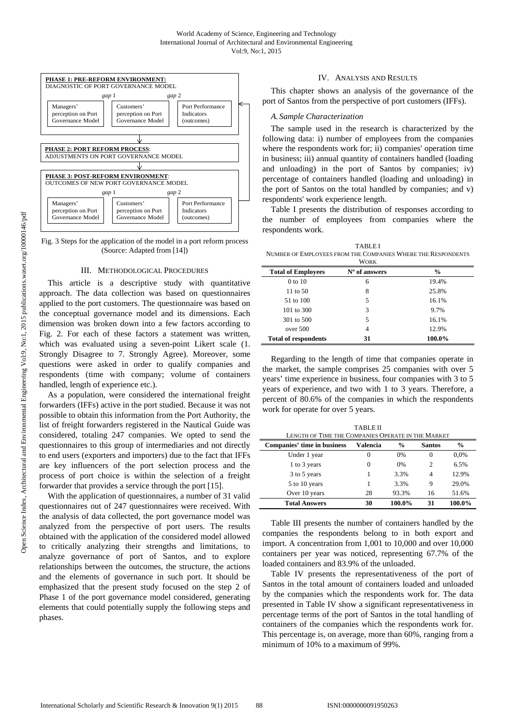



## III. METHODOLOGICAL PROCEDURES

This article is a descriptive study with quantitative approach. The data collection was based on questionnaires applied to the port customers. The questionnaire was based on the conceptual governance model and its dimensions. Each dimension was broken down into a few factors according to Fig. 2. For each of these factors a statement was written, which was evaluated using a seven-point Likert scale (1. Strongly Disagree to 7. Strongly Agree). Moreover, some questions were asked in order to qualify companies and respondents (time with company; volume of containers handled, length of experience etc.).

As a population, were considered the international freight forwarders (IFFs) active in the port studied. Because it was not possible to obtain this information from the Port Authority, the list of freight forwarders registered in the Nautical Guide was considered, totaling 247 companies. We opted to send the questionnaires to this group of intermediaries and not directly to end users (exporters and importers) due to the fact that IFFs are key influencers of the port selection process and the process of port choice is within the selection of a freight forwarder that provides a service through the port [15].

With the application of questionnaires, a number of 31 valid questionnaires out of 247 questionnaires were received. With the analysis of data collected, the port governance model was analyzed from the perspective of port users. The results obtained with the application of the considered model allowed to critically analyzing their strengths and limitations, to analyze governance of port of Santos, and to explore relationships between the outcomes, the structure, the actions and the elements of governance in such port. It should be emphasized that the present study focused on the step 2 of Phase 1 of the port governance model considered, generating elements that could potentially supply the following steps and phases.

## IV. ANALYSIS AND RESULTS

This chapter shows an analysis of the governance of the port of Santos from the perspective of port customers (IFFs).

#### *A. Sample Characterization*

The sample used in the research is characterized by the following data: i) number of employees from the companies where the respondents work for; ii) companies' operation time in business; iii) annual quantity of containers handled (loading and unloading) in the port of Santos by companies; iv) percentage of containers handled (loading and unloading) in the port of Santos on the total handled by companies; and v) respondents' work experience length.

Table I presents the distribution of responses according to the number of employees from companies where the respondents work.

TABLE I NUMBER OF EMPLOYEES FROM THE COMPANIES WHERE THE RESPONDENTS

| WORK                        |               |               |  |
|-----------------------------|---------------|---------------|--|
| <b>Total of Employees</b>   | N° of answers | $\frac{0}{0}$ |  |
| 0 to 10                     | 6             | 19.4%         |  |
| 11 to 50                    | 8             | 25.8%         |  |
| 51 to 100                   | 5             | 16.1%         |  |
| 101 to 300                  | 3             | 9.7%          |  |
| 301 to 500                  | 5             | 16.1%         |  |
| over 500                    | 4             | 12.9%         |  |
| <b>Total of respondents</b> | 31            | 100.0%        |  |

Regarding to the length of time that companies operate in the market, the sample comprises 25 companies with over 5 years' time experience in business, four companies with 3 to 5 years of experience, and two with 1 to 3 years. Therefore, a percent of 80.6% of the companies in which the respondents work for operate for over 5 years.

| <b>TABLE II</b>                                    |          |               |               |               |
|----------------------------------------------------|----------|---------------|---------------|---------------|
| LENGTH OF TIME THE COMPANIES OPERATE IN THE MARKET |          |               |               |               |
| Companies' time in business                        | Valencia | $\frac{0}{0}$ | <b>Santos</b> | $\frac{6}{9}$ |
| Under 1 year                                       | $\theta$ | 0%            | 0             | 0.0%          |
| 1 to 3 years                                       | 0        | 0%            | 2             | 6.5%          |
| 3 to 5 years                                       |          | 3.3%          | 4             | 12.9%         |
| 5 to 10 years                                      | 1        | 3.3%          | 9             | 29.0%         |
| Over 10 years                                      | 28       | 93.3%         | 16            | 51.6%         |
| <b>Total Answers</b>                               | 30       | 100.0%        | 31            | 100.0%        |

Table III presents the number of containers handled by the companies the respondents belong to in both export and import. A concentration from 1,001 to 10,000 and over 10,000 containers per year was noticed, representing 67.7% of the loaded containers and 83.9% of the unloaded.

Table IV presents the representativeness of the port of Santos in the total amount of containers loaded and unloaded by the companies which the respondents work for. The data presented in Table IV show a significant representativeness in percentage terms of the port of Santos in the total handling of containers of the companies which the respondents work for. This percentage is, on average, more than 60%, ranging from a minimum of 10% to a maximum of 99%.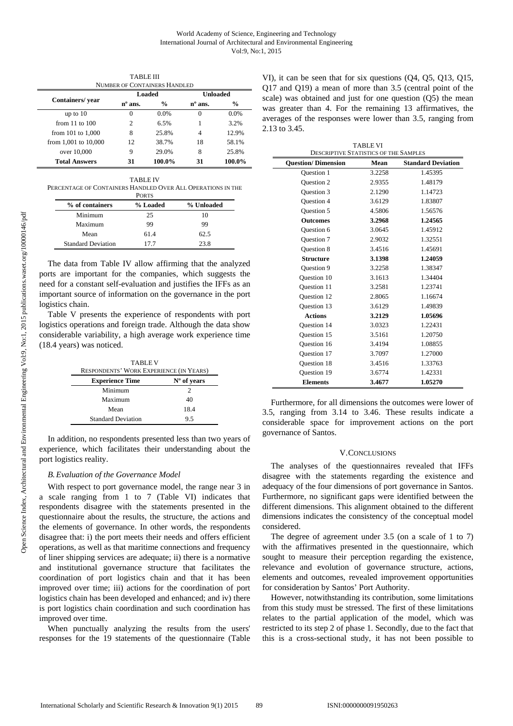|                       | Loaded           |               | Unloaded         |               |
|-----------------------|------------------|---------------|------------------|---------------|
| Containers/vear       | $n^{\circ}$ ans. | $\frac{6}{9}$ | $n^{\circ}$ ans. | $\frac{0}{0}$ |
| up to $10$            | 0                | 0.0%          | 0                | 0.0%          |
| from $11$ to $100$    | 2                | 6.5%          |                  | 3.2%          |
| from $101$ to $1,000$ | 8                | 25.8%         | 4                | 12.9%         |
| from 1,001 to 10,000  | 12               | 38.7%         | 18               | 58.1%         |
| over 10,000           | 9                | 29.0%         | 8                | 25.8%         |
| <b>Total Answers</b>  | 31               | 100.0%        | 31               | 100.0%        |

TABLE III

TABLE IV PERCENTAGE OF CONTAINERS HANDLED OVER ALL OPERATIONS IN THE

|                           | <b>PORTS</b> |            |
|---------------------------|--------------|------------|
| % of containers           | % Loaded     | % Unloaded |
| Minimum                   | 25           | 10         |
| Maximum                   | 99           | 99         |
| Mean                      | 61.4         | 62.5       |
| <b>Standard Deviation</b> | 177          | 23.8       |

The data from Table IV allow affirming that the analyzed ports are important for the companies, which suggests the need for a constant self-evaluation and justifies the IFFs as an important source of information on the governance in the port logistics chain.

Table V presents the experience of respondents with port logistics operations and foreign trade. Although the data show considerable variability, a high average work experience time (18.4 years) was noticed.

| <b>TABLE V</b><br><b>RESPONDENTS' WORK EXPERIENCE (IN YEARS)</b> |             |  |  |
|------------------------------------------------------------------|-------------|--|--|
| <b>Experience Time</b>                                           | N° of years |  |  |
| Minimum                                                          | 2           |  |  |
| Maximum                                                          | 40          |  |  |
| Mean                                                             | 18.4        |  |  |
| <b>Standard Deviation</b>                                        | 95          |  |  |

In addition, no respondents presented less than two years of experience, which facilitates their understanding about the port logistics reality.

# *B.Evaluation of the Governance Model*

With respect to port governance model, the range near 3 in a scale ranging from 1 to 7 (Table VI) indicates that respondents disagree with the statements presented in the questionnaire about the results, the structure, the actions and the elements of governance. In other words, the respondents disagree that: i) the port meets their needs and offers efficient operations, as well as that maritime connections and frequency of liner shipping services are adequate; ii) there is a normative and institutional governance structure that facilitates the coordination of port logistics chain and that it has been improved over time; iii) actions for the coordination of port logistics chain has been developed and enhanced; and iv) there is port logistics chain coordination and such coordination has improved over time.

When punctually analyzing the results from the users' responses for the 19 statements of the questionnaire (Table

VI), it can be seen that for six questions (Q4, Q5, Q13, Q15, Q17 and Q19) a mean of more than 3.5 (central point of the scale) was obtained and just for one question (Q5) the mean was greater than 4. For the remaining 13 affirmatives, the averages of the responses were lower than 3.5, ranging from 2.13 to 3.45.

| <b>TABLE VI</b>                              |        |                           |  |
|----------------------------------------------|--------|---------------------------|--|
| <b>DESCRIPTIVE STATISTICS OF THE SAMPLES</b> |        |                           |  |
| <b>Ouestion/Dimension</b>                    | Mean   | <b>Standard Deviation</b> |  |
| <b>Ouestion 1</b>                            | 3.2258 | 1.45395                   |  |
| <b>Ouestion 2</b>                            | 2.9355 | 1.48179                   |  |
| <b>Ouestion 3</b>                            | 2.1290 | 1.14723                   |  |
| <b>Ouestion 4</b>                            | 3.6129 | 1.83807                   |  |
| <b>Ouestion 5</b>                            | 4.5806 | 1.56576                   |  |
| <b>Outcomes</b>                              | 3.2968 | 1.24565                   |  |
| <b>Ouestion 6</b>                            | 3.0645 | 1.45912                   |  |
| <b>Ouestion 7</b>                            | 2.9032 | 1.32551                   |  |
| <b>Ouestion 8</b>                            | 3.4516 | 1.45691                   |  |
| <b>Structure</b>                             | 3.1398 | 1.24059                   |  |
| <b>Ouestion 9</b>                            | 3.2258 | 1.38347                   |  |
| <b>Ouestion 10</b>                           | 3.1613 | 1.34404                   |  |
| Question 11                                  | 3.2581 | 1.23741                   |  |
| <b>Ouestion 12</b>                           | 2.8065 | 1.16674                   |  |
| <b>Ouestion 13</b>                           | 3.6129 | 1.49839                   |  |
| <b>Actions</b>                               | 3.2129 | 1.05696                   |  |
| <b>Ouestion 14</b>                           | 3.0323 | 1.22431                   |  |
| <b>Ouestion 15</b>                           | 3.5161 | 1.20750                   |  |
| <b>Ouestion 16</b>                           | 3.4194 | 1.08855                   |  |
| <b>Ouestion 17</b>                           | 3.7097 | 1.27000                   |  |
| Question 18                                  | 3.4516 | 1.33763                   |  |
| <b>Ouestion 19</b>                           | 3.6774 | 1.42331                   |  |
| <b>Elements</b>                              | 3.4677 | 1.05270                   |  |

Furthermore, for all dimensions the outcomes were lower of 3.5, ranging from 3.14 to 3.46. These results indicate a considerable space for improvement actions on the port governance of Santos.

# V.CONCLUSIONS

The analyses of the questionnaires revealed that IFFs disagree with the statements regarding the existence and adequacy of the four dimensions of port governance in Santos. Furthermore, no significant gaps were identified between the different dimensions. This alignment obtained to the different dimensions indicates the consistency of the conceptual model considered.

The degree of agreement under 3.5 (on a scale of 1 to 7) with the affirmatives presented in the questionnaire, which sought to measure their perception regarding the existence, relevance and evolution of governance structure, actions, elements and outcomes, revealed improvement opportunities for consideration by Santos' Port Authority.

However, notwithstanding its contribution, some limitations from this study must be stressed. The first of these limitations relates to the partial application of the model, which was restricted to its step 2 of phase 1. Secondly, due to the fact that this is a cross-sectional study, it has not been possible to